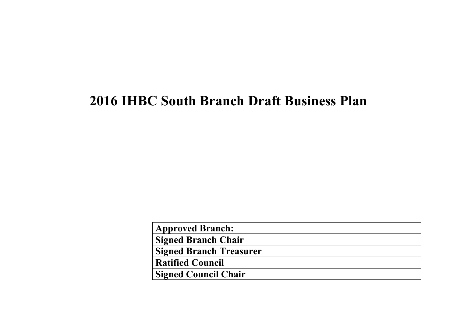## **2016 IHBC South Branch Draft Business Plan**

| <b>Approved Branch:</b>        |  |
|--------------------------------|--|
| <b>Signed Branch Chair</b>     |  |
| <b>Signed Branch Treasurer</b> |  |
| <b>Ratified Council</b>        |  |
| <b>Signed Council Chair</b>    |  |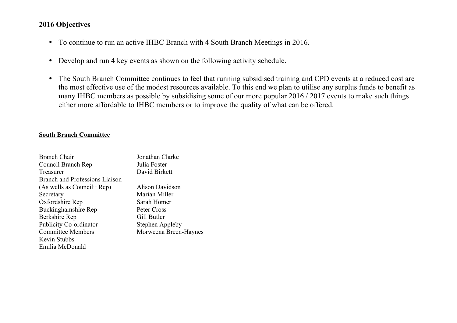## **2016 Objectives**

- To continue to run an active IHBC Branch with 4 South Branch Meetings in 2016.
- Develop and run 4 key events as shown on the following activity schedule.
- The South Branch Committee continues to feel that running subsidised training and CPD events at a reduced cost are the most effective use of the modest resources available. To this end we plan to utilise any surplus funds to benefit as many IHBC members as possible by subsidising some of our more popular 2016 / 2017 events to make such things either more affordable to IHBC members or to improve the quality of what can be offered.

## **South Branch Committee**

| <b>Branch Chair</b>            | Jonathan Clarke       |
|--------------------------------|-----------------------|
| Council Branch Rep             | Julia Foster          |
| Treasurer                      | David Birkett         |
| Branch and Professions Liaison |                       |
| (As wells as Council+ Rep)     | Alison Davidson       |
| Secretary                      | Marian Miller         |
| Oxfordshire Rep                | Sarah Homer           |
| Buckinghamshire Rep            | Peter Cross           |
| Berkshire Rep                  | Gill Butler           |
| <b>Publicity Co-ordinator</b>  | Stephen Appleby       |
| <b>Committee Members</b>       | Morweena Breen-Haynes |
| <b>Kevin Stubbs</b>            |                       |
| Emilia McDonald                |                       |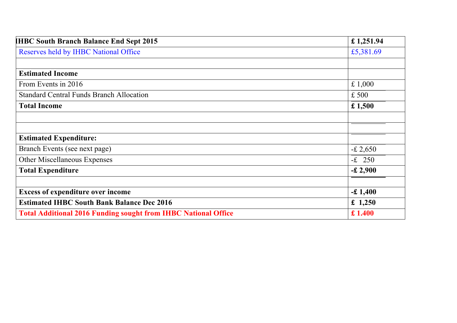| <b>IHBC South Branch Balance End Sept 2015</b>                        | £ 1,251.94 |  |  |  |
|-----------------------------------------------------------------------|------------|--|--|--|
| <b>Reserves held by IHBC National Office</b>                          |            |  |  |  |
|                                                                       |            |  |  |  |
| <b>Estimated Income</b>                                               |            |  |  |  |
| From Events in 2016                                                   | £ $1,000$  |  |  |  |
| <b>Standard Central Funds Branch Allocation</b>                       | £500       |  |  |  |
| <b>Total Income</b>                                                   | £1,500     |  |  |  |
|                                                                       |            |  |  |  |
|                                                                       |            |  |  |  |
| <b>Estimated Expenditure:</b>                                         |            |  |  |  |
| Branch Events (see next page)                                         | $-£2,650$  |  |  |  |
| Other Miscellaneous Expenses                                          | $-E$ 250   |  |  |  |
| <b>Total Expenditure</b>                                              | $-£2,900$  |  |  |  |
|                                                                       |            |  |  |  |
| <b>Excess of expenditure over income</b>                              | $-£1,400$  |  |  |  |
| <b>Estimated IHBC South Bank Balance Dec 2016</b>                     | £ 1,250    |  |  |  |
| <b>Total Additional 2016 Funding sought from IHBC National Office</b> |            |  |  |  |